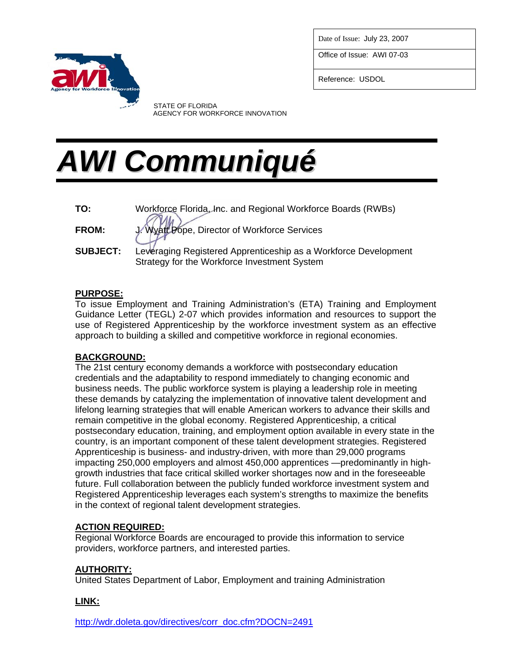Date of Issue: July 23, 2007

Office of Issue: AWI 07-03

Reference: USDOL



 STATE OF FLORIDA AGENCY FOR WORKFORCE INNOVATION

# *AWI Communiqué*

**TO:** Workforce Florida, Inc. and Regional Workforce Boards (RWBs) **FROM:** J. Wyatt Pope, Director of Workforce Services **SUBJECT:** Leveraging Registered Apprenticeship as a Workforce Development Strategy for the Workforce Investment System

## **PURPOSE:**

To issue Employment and Training Administration's (ETA) Training and Employment Guidance Letter (TEGL) 2-07 which provides information and resources to support the use of Registered Apprenticeship by the workforce investment system as an effective approach to building a skilled and competitive workforce in regional economies.

### **BACKGROUND:**

The 21st century economy demands a workforce with postsecondary education credentials and the adaptability to respond immediately to changing economic and business needs. The public workforce system is playing a leadership role in meeting these demands by catalyzing the implementation of innovative talent development and lifelong learning strategies that will enable American workers to advance their skills and remain competitive in the global economy. Registered Apprenticeship, a critical postsecondary education, training, and employment option available in every state in the country, is an important component of these talent development strategies. Registered Apprenticeship is business- and industry-driven, with more than 29,000 programs impacting 250,000 employers and almost 450,000 apprentices —predominantly in highgrowth industries that face critical skilled worker shortages now and in the foreseeable future. Full collaboration between the publicly funded workforce investment system and Registered Apprenticeship leverages each system's strengths to maximize the benefits in the context of regional talent development strategies.

## **ACTION REQUIRED:**

Regional Workforce Boards are encouraged to provide this information to service providers, workforce partners, and interested parties.

### **AUTHORITY:**

United States Department of Labor, Employment and training Administration

### **LINK:**

[http://wdr.doleta.gov/directives/corr\\_doc.cfm?DOCN=2491](http://wdr.doleta.gov/directives/corr_doc.cfm?DOCN=2491)